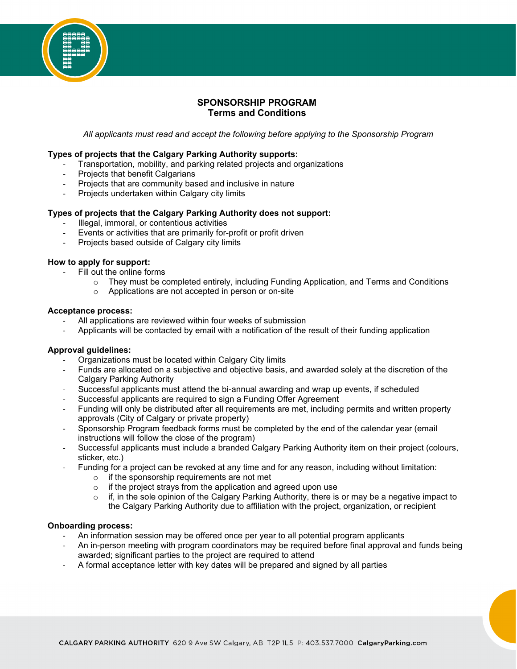

*All applicants must read and accept the following before applying to the Sponsorship Program*

#### **Types of projects that the Calgary Parking Authority supports:**

- Transportation, mobility, and parking related projects and organizations
- Projects that benefit Calgarians
- Projects that are community based and inclusive in nature
- Projects undertaken within Calgary city limits

# **Types of projects that the Calgary Parking Authority does not support:**

- Illegal, immoral, or contentious activities
- Events or activities that are primarily for-profit or profit driven
- Projects based outside of Calgary city limits

# **How to apply for support:**

- Fill out the online forms
	- o They must be completed entirely, including Funding Application, and Terms and Conditions
	- o Applications are not accepted in person or on-site

#### **Acceptance process:**

- All applications are reviewed within four weeks of submission
- Applicants will be contacted by email with a notification of the result of their funding application

# **Approval guidelines:**

- Organizations must be located within Calgary City limits
- Funds are allocated on a subjective and objective basis, and awarded solely at the discretion of the Calgary Parking Authority
- Successful applicants must attend the bi-annual awarding and wrap up events, if scheduled
- Successful applicants are required to sign a Funding Offer Agreement
- Funding will only be distributed after all requirements are met, including permits and written property approvals (City of Calgary or private property)
- Sponsorship Program feedback forms must be completed by the end of the calendar year (email instructions will follow the close of the program)
- Successful applicants must include a branded Calgary Parking Authority item on their project (colours, sticker, etc.)
- Funding for a project can be revoked at any time and for any reason, including without limitation:
	- $\circ$  if the sponsorship requirements are not met
	- $\circ$  if the project strays from the application and agreed upon use<br> $\circ$  if in the sole opinion of the Calgary Parking Authority there is
	- if, in the sole opinion of the Calgary Parking Authority, there is or may be a negative impact to the Calgary Parking Authority due to affiliation with the project, organization, or recipient

# **Onboarding process:**

- An information session may be offered once per year to all potential program applicants
- An in-person meeting with program coordinators may be required before final approval and funds being awarded; significant parties to the project are required to attend
- A formal acceptance letter with key dates will be prepared and signed by all parties